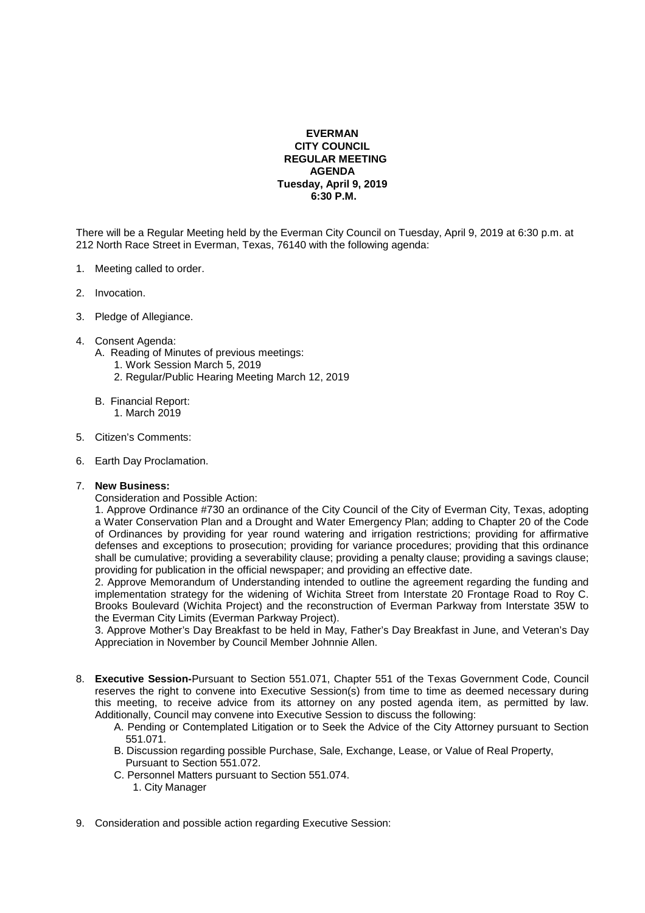## **EVERMAN CITY COUNCIL REGULAR MEETING AGENDA Tuesday, April 9, 2019 6:30 P.M.**

There will be a Regular Meeting held by the Everman City Council on Tuesday, April 9, 2019 at 6:30 p.m. at 212 North Race Street in Everman, Texas, 76140 with the following agenda:

- 1. Meeting called to order.
- 2. Invocation.
- 3. Pledge of Allegiance.
- 4. Consent Agenda:
	- A. Reading of Minutes of previous meetings:
		- 1. Work Session March 5, 2019
		- 2. Regular/Public Hearing Meeting March 12, 2019
	- B. Financial Report: 1. March 2019
- 5. Citizen's Comments:
- 6. Earth Day Proclamation.

## 7. **New Business:**

Consideration and Possible Action:

1. Approve Ordinance #730 an ordinance of the City Council of the City of Everman City, Texas, adopting a Water Conservation Plan and a Drought and Water Emergency Plan; adding to Chapter 20 of the Code of Ordinances by providing for year round watering and irrigation restrictions; providing for affirmative defenses and exceptions to prosecution; providing for variance procedures; providing that this ordinance shall be cumulative; providing a severability clause; providing a penalty clause; providing a savings clause; providing for publication in the official newspaper; and providing an effective date.

2. Approve Memorandum of Understanding intended to outline the agreement regarding the funding and implementation strategy for the widening of Wichita Street from Interstate 20 Frontage Road to Roy C. Brooks Boulevard (Wichita Project) and the reconstruction of Everman Parkway from Interstate 35W to the Everman City Limits (Everman Parkway Project).

3. Approve Mother's Day Breakfast to be held in May, Father's Day Breakfast in June, and Veteran's Day Appreciation in November by Council Member Johnnie Allen.

- 8. **Executive Session-**Pursuant to Section 551.071, Chapter 551 of the Texas Government Code, Council reserves the right to convene into Executive Session(s) from time to time as deemed necessary during this meeting, to receive advice from its attorney on any posted agenda item, as permitted by law. Additionally, Council may convene into Executive Session to discuss the following:
	- A. Pending or Contemplated Litigation or to Seek the Advice of the City Attorney pursuant to Section 551.071.
	- B. Discussion regarding possible Purchase, Sale, Exchange, Lease, or Value of Real Property, Pursuant to Section 551.072.
	- C. Personnel Matters pursuant to Section 551.074.
		- 1. City Manager
- 9. Consideration and possible action regarding Executive Session: